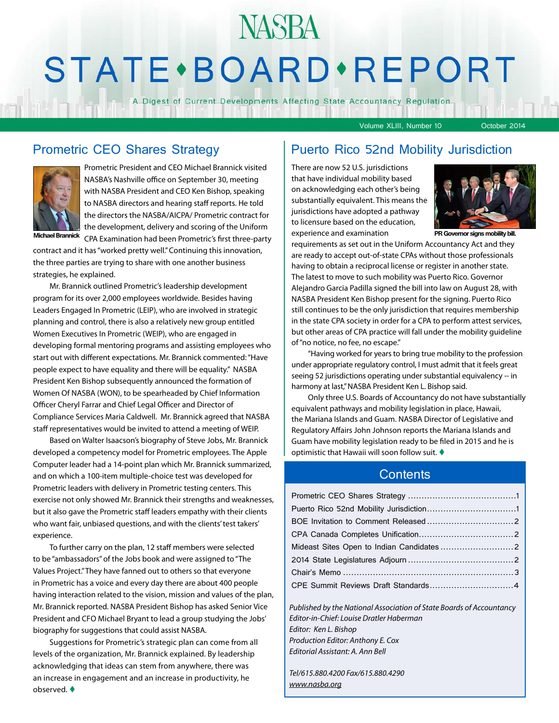# **NASBA STATE** · BOARD · REPORT

A Digest of Current Developments Affecting State Accountancy Regulation

Volume XLIII, Number 10 October 2014



Prometric President and CEO Michael Brannick visited NASBA's Nashville office on September 30, meeting with NASBA President and CEO Ken Bishop, speaking to NASBA directors and hearing staff reports. He told the directors the NASBA/AICPA/ Prometric contract for the development, delivery and scoring of the Uniform CPA Examination had been Prometric's first three-party **Michael Brannick PR Governor signs mobility bill.**

contract and it has "worked pretty well." Continuing this innovation, the three parties are trying to share with one another business strategies, he explained.

Mr. Brannick outlined Prometric's leadership development program for its over 2,000 employees worldwide. Besides having Leaders Engaged In Prometric (LEIP), who are involved in strategic planning and control, there is also a relatively new group entitled Women Executives In Prometric (WEIP), who are engaged in developing formal mentoring programs and assisting employees who start out with different expectations. Mr. Brannick commented: "Have people expect to have equality and there will be equality." NASBA President Ken Bishop subsequently announced the formation of Women Of NASBA (WON), to be spearheaded by Chief Information Officer Cheryl Farrar and Chief Legal Officer and Director of Compliance Services Maria Caldwell. Mr. Brannick agreed that NASBA staff representatives would be invited to attend a meeting of WEIP.

Based on Walter Isaacson's biography of Steve Jobs, Mr. Brannick developed a competency model for Prometric employees. The Apple Computer leader had a 14-point plan which Mr. Brannick summarized, and on which a 100-item multiple-choice test was developed for Prometric leaders with delivery in Prometric testing centers. This exercise not only showed Mr. Brannick their strengths and weaknesses, but it also gave the Prometric staff leaders empathy with their clients who want fair, unbiased questions, and with the clients' test takers' experience.

To further carry on the plan, 12 staff members were selected to be "ambassadors" of the Jobs book and were assigned to "The Values Project." They have fanned out to others so that everyone in Prometric has a voice and every day there are about 400 people having interaction related to the vision, mission and values of the plan, Mr. Brannick reported. NASBA President Bishop has asked Senior Vice President and CFO Michael Bryant to lead a group studying the Jobs' biography for suggestions that could assist NASBA.

Suggestions for Prometric's strategic plan can come from all levels of the organization, Mr. Brannick explained. By leadership acknowledging that ideas can stem from anywhere, there was an increase in engagement and an increase in productivity, he observed. $\blacklozenge$ 

#### Prometric CEO Shares Strategy | Puerto Rico 52nd Mobility Jurisdiction

There are now 52 U.S. jurisdictions that have individual mobility based on acknowledging each other's being substantially equivalent. This means the jurisdictions have adopted a pathway to licensure based on the education, experience and examination



requirements as set out in the Uniform Accountancy Act and they are ready to accept out-of-state CPAs without those professionals having to obtain a reciprocal license or register in another state. The latest to move to such mobility was Puerto Rico. Governor Alejandro Garcia Padilla signed the bill into law on August 28, with NASBA President Ken Bishop present for the signing. Puerto Rico still continues to be the only jurisdiction that requires membership in the state CPA society in order for a CPA to perform attest services, but other areas of CPA practice will fall under the mobility guideline of "no notice, no fee, no escape."

"Having worked for years to bring true mobility to the profession under appropriate regulatory control, I must admit that it feels great seeing 52 jurisdictions operating under substantial equivalency -- in harmony at last," NASBA President Ken L. Bishop said.

Only three U.S. Boards of Accountancy do not have substantially equivalent pathways and mobility legislation in place, Hawaii, the Mariana Islands and Guam. NASBA Director of Legislative and Regulatory Affairs John Johnson reports the Mariana Islands and Guam have mobility legislation ready to be filed in 2015 and he is optimistic that Hawaii will soon follow suit.  $\blacklozenge$ 

#### **Contents**

| Published by the National Association of State Boards of Accountancy |  |
|----------------------------------------------------------------------|--|

*Editor-in-Chief: Louise Dratler Haberman Editor: Ken L. Bishop Production Editor: Anthony E. Cox Editorial Assistant: A. Ann Bell* 

*Tel/615.880.4200 Fax/615.880.4290 [www.nasba.org](http://www.nasba.org)*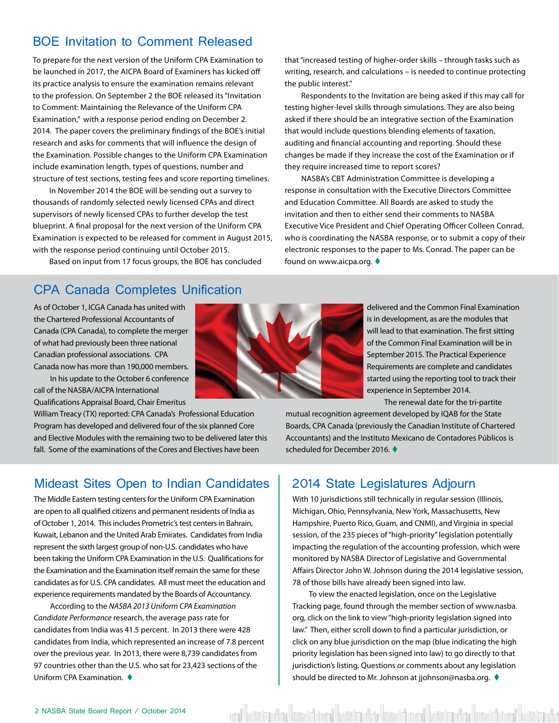### <span id="page-1-0"></span>BOE Invitation to Comment Released

To prepare for the next version of the Uniform CPA Examination to be launched in 2017, the AICPA Board of Examiners has kicked off its practice analysis to ensure the examination remains relevant to the profession. On September 2 the BOE released its "Invitation to Comment: Maintaining the Relevance of the Uniform CPA Examination," with a response period ending on December 2. 2014. The paper covers the preliminary findings of the BOE's initial research and asks for comments that will influence the design of the Examination. Possible changes to the Uniform CPA Examination include examination length, types of questions, number and structure of test sections, testing fees and score reporting timelines.

In November 2014 the BOE will be sending out a survey to thousands of randomly selected newly licensed CPAs and direct supervisors of newly licensed CPAs to further develop the test blueprint. A final proposal for the next version of the Uniform CPA Examination is expected to be released for comment in August 2015, with the response period continuing until October 2015.

Based on input from 17 focus groups, the BOE has concluded

#### CPA Canada Completes Unification

As of October 1, ICGA Canada has united with the Chartered Professional Accountants of Canada (CPA Canada), to complete the merger of what had previously been three national Canadian professional associations. CPA Canada now has more than 190,000 members.

In his update to the October 6 conference call of the NASBA/AICPA International Qualifications Appraisal Board, Chair Emeritus

William Treacy (TX) reported: CPA Canada's Professional Education Program has developed and delivered four of the six planned Core and Elective Modules with the remaining two to be delivered later this fall. Some of the examinations of the Cores and Electives have been

#### Mideast Sites Open to Indian Candidates

The Middle Eastern testing centers for the Uniform CPA Examination are open to all qualified citizens and permanent residents of India as of October 1, 2014. This includes Prometric's test centers in Bahrain, Kuwait, Lebanon and the United Arab Emirates. Candidates from India represent the sixth largest group of non-U.S. candidates who have been taking the Uniform CPA Examination in the U.S. Qualifications for the Examination and the Examination itself remain the same for these candidates as for U.S. CPA candidates. All must meet the education and experience requirements mandated by the Boards of Accountancy.

According to the *NASBA 2013 Uniform CPA Examination Candidate Performance* research, the average pass rate for candidates from India was 41.5 percent. In 2013 there were 428 candidates from India, which represented an increase of 7.8 percent over the previous year. In 2013, there were 8,739 candidates from 97 countries other than the U.S. who sat for 23,423 sections of the Uniform CPA Examination.  $\triangleleft$ 



that "increased testing of higher-order skills – through tasks such as writing, research, and calculations – is needed to continue protecting the public interest."

Respondents to the Invitation are being asked if this may call for testing higher-level skills through simulations. They are also being asked if there should be an integrative section of the Examination that would include questions blending elements of taxation, auditing and financial accounting and reporting. Should these changes be made if they increase the cost of the Examination or if they require increased time to report scores?

NASBA's CBT Administration Committee is developing a response in consultation with the Executive Directors Committee and Education Committee. All Boards are asked to study the invitation and then to either send their comments to NASBA Executive Vice President and Chief Operating Officer Colleen Conrad, who is coordinating the NASBA response, or to submit a copy of their electronic responses to the paper to Ms. Conrad. The paper can be found on www.aicpa.org.

> delivered and the Common Final Examination is in development, as are the modules that will lead to that examination. The first sitting of the Common Final Examination will be in September 2015. The Practical Experience Requirements are complete and candidates started using the reporting tool to track their experience in September 2014.

> > The renewal date for the tri-partite

mutual recognition agreement developed by IQAB for the State Boards, CPA Canada (previously the Canadian Institute of Chartered Accountants) and the Instituto Mexicano de Contadores Públicos is scheduled for December 2016.

#### 2014 State Legislatures Adjourn

With 10 jurisdictions still technically in regular session (Illinois, Michigan, Ohio, Pennsylvania, New York, Massachusetts, New Hampshire, Puerto Rico, Guam, and CNMI), and Virginia in special session, of the 235 pieces of "high-priority" legislation potentially impacting the regulation of the accounting profession, which were monitored by NASBA Director of Legislative and Governmental Affairs Director John W. Johnson during the 2014 legislative session, 78 of those bills have already been signed into law.

To view the enacted legislation, once on the Legislative Tracking page, found through the member section of www.nasba. org, click on the link to view "high-priority legislation signed into law." Then, either scroll down to find a particular jurisdiction, or click on any blue jurisdiction on the map (blue indicating the high priority legislation has been signed into law) to go directly to that jurisdiction's listing. Questions or comments about any legislation should be directed to Mr. Johnson at jjohnson@nasba.org.  $\blacklozenge$ 

ent kötti mahar kisat hasil keskumbar kisat hasil kasil mahar kisat hasil kes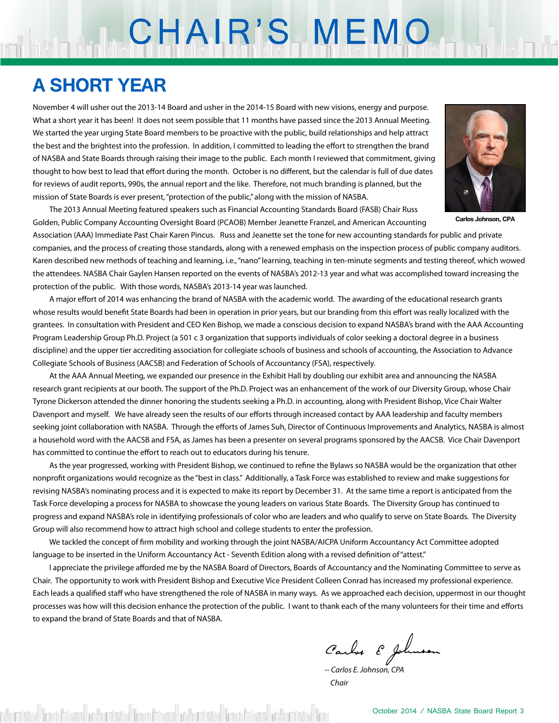# CHAIR'S MEMO

## **A SHORT YEAR**

November 4 will usher out the 2013-14 Board and usher in the 2014-15 Board with new visions, energy and purpose. What a short year it has been! It does not seem possible that 11 months have passed since the 2013 Annual Meeting. We started the year urging State Board members to be proactive with the public, build relationships and help attract the best and the brightest into the profession. In addition, I committed to leading the effort to strengthen the brand of NASBA and State Boards through raising their image to the public. Each month I reviewed that commitment, giving thought to how best to lead that effort during the month. October is no different, but the calendar is full of due dates for reviews of audit reports, 990s, the annual report and the like. Therefore, not much branding is planned, but the mission of State Boards is ever present, "protection of the public," along with the mission of NASBA.



**Carlos Johnson, CPA**

 The 2013 Annual Meeting featured speakers such as Financial Accounting Standards Board (FASB) Chair Russ Golden, Public Company Accounting Oversight Board (PCAOB) Member Jeanette Franzel, and American Accounting

Association (AAA) Immediate Past Chair Karen Pincus. Russ and Jeanette set the tone for new accounting standards for public and private companies, and the process of creating those standards, along with a renewed emphasis on the inspection process of public company auditors. Karen described new methods of teaching and learning, i.e., "nano" learning, teaching in ten-minute segments and testing thereof, which wowed the attendees. NASBA Chair Gaylen Hansen reported on the events of NASBA's 2012-13 year and what was accomplished toward increasing the protection of the public. With those words, NASBA's 2013-14 year was launched.

 A major effort of 2014 was enhancing the brand of NASBA with the academic world. The awarding of the educational research grants whose results would benefit State Boards had been in operation in prior years, but our branding from this effort was really localized with the grantees. In consultation with President and CEO Ken Bishop, we made a conscious decision to expand NASBA's brand with the AAA Accounting Program Leadership Group Ph.D. Project (a 501 c 3 organization that supports individuals of color seeking a doctoral degree in a business discipline) and the upper tier accrediting association for collegiate schools of business and schools of accounting, the Association to Advance Collegiate Schools of Business (AACSB) and Federation of Schools of Accountancy (FSA), respectively.

At the AAA Annual Meeting, we expanded our presence in the Exhibit Hall by doubling our exhibit area and announcing the NASBA research grant recipients at our booth. The support of the Ph.D. Project was an enhancement of the work of our Diversity Group, whose Chair Tyrone Dickerson attended the dinner honoring the students seeking a Ph.D. in accounting, along with President Bishop, Vice Chair Walter Davenport and myself. We have already seen the results of our efforts through increased contact by AAA leadership and faculty members seeking joint collaboration with NASBA. Through the efforts of James Suh, Director of Continuous Improvements and Analytics, NASBA is almost a household word with the AACSB and FSA, as James has been a presenter on several programs sponsored by the AACSB. Vice Chair Davenport has committed to continue the effort to reach out to educators during his tenure.

 As the year progressed, working with President Bishop, we continued to refine the Bylaws so NASBA would be the organization that other nonprofit organizations would recognize as the "best in class." Additionally, a Task Force was established to review and make suggestions for revising NASBA's nominating process and it is expected to make its report by December 31. At the same time a report is anticipated from the Task Force developing a process for NASBA to showcase the young leaders on various State Boards. The Diversity Group has continued to progress and expand NASBA's role in identifying professionals of color who are leaders and who qualify to serve on State Boards. The Diversity Group will also recommend how to attract high school and college students to enter the profession.

We tackled the concept of firm mobility and working through the joint NASBA/AICPA Uniform Accountancy Act Committee adopted language to be inserted in the Uniform Accountancy Act - Seventh Edition along with a revised definition of "attest."

I appreciate the privilege afforded me by the NASBA Board of Directors, Boards of Accountancy and the Nominating Committee to serve as Chair. The opportunity to work with President Bishop and Executive Vice President Colleen Conrad has increased my professional experience. Each leads a qualified staff who have strengthened the role of NASBA in many ways. As we approached each decision, uppermost in our thought processes was how will this decision enhance the protection of the public. I want to thank each of the many volunteers for their time and efforts to expand the brand of State Boards and that of NASBA.

Carlos & Johnson

*-- Carlos E. Johnson, CPA Chair*

churisted from Charit och misted from Charit och misted from Charit och misted fro